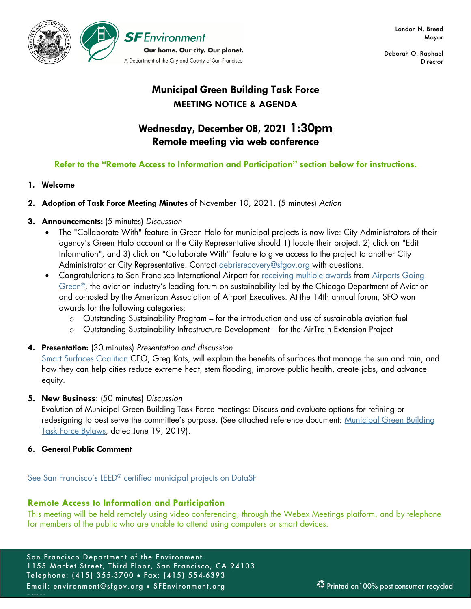

Deborah O. Raphael **Director** 

# **Municipal Green Building Task Force MEETING NOTICE & AGENDA**

# **Wednesday, December 08, 2021 1:30pm Remote meeting via web conference**

# **Refer to the "Remote Access to Information and Participation" section below for instructions.**

## **1. Welcome**

**2. Adoption of Task Force Meeting Minutes** of November 10, 2021. (5 minutes) *Action*

## **3. Announcements:** (5 minutes) *Discussion*

- The "Collaborate With" feature in Green Halo for municipal projects is now live: City Administrators of their agency's Green Halo account or the City Representative should 1) locate their project, 2) click on "Edit Information", and 3) click on "Collaborate With" feature to give access to the project to another City Administrator or City Representative. Contact debrisrecovery@sfgov.org with questions.
- Congratulations to San Francisco International Airport for receiving [multiple awards](https://sfoconnect.com/about/news/sfo-scores-multiple-awards-environmental-leadership-airports-going-green) from Airports Going Green<sup>®</sup>, the aviation industry's leading forum on sustainability led by the Chicago Department of Aviation and co-hosted by the American Association of Airport Executives. At the 14th annual forum, SFO won awards for the following categories:
	- $\circ$  Outstanding Sustainability Program for the introduction and use of sustainable aviation fuel
	- o Outstanding Sustainability Infrastructure Development for the AirTrain Extension Project

## **4. Presentation:** (30 minutes) *Presentation and discussion*

[Smart Surfaces Coalition](https://smartsurfacescoalition.org/) CEO, Greg Kats, will explain the benefits of surfaces that manage the sun and rain, and how they can help cities reduce extreme heat, stem flooding, improve public health, create jobs, and advance equity.

## **5. New Business**: (50 minutes) *Discussion*

Evolution of Municipal Green Building Task Force meetings: Discuss and evaluate options for refining or redesigning to best [serve the committee's purpose. \(See attached reference document: Municipal Green Building](https://drive.google.com/file/d/1tiOU5_VOScrs7g2uDps_ev9PVSWRfNOl/view?usp=sharing) Task Force Bylaws, dated June 19, 2019).

**6. General Public Comment**

paper.

## See San Francisco's LEED<sup>®</sup> [certified municipal projects on DataSF](https://data.sfgov.org/Housing-and-Buildings/Map-of-SF-LEED-certified-municipal-buildings-and-i/7utx-cs9k)

## **Remote Access to Information and Participation**

This meeting will be held remotely using video conferencing, through the Webex Meetings platform, and by telephone for members of the public who are unable to attend using computers or smart devices.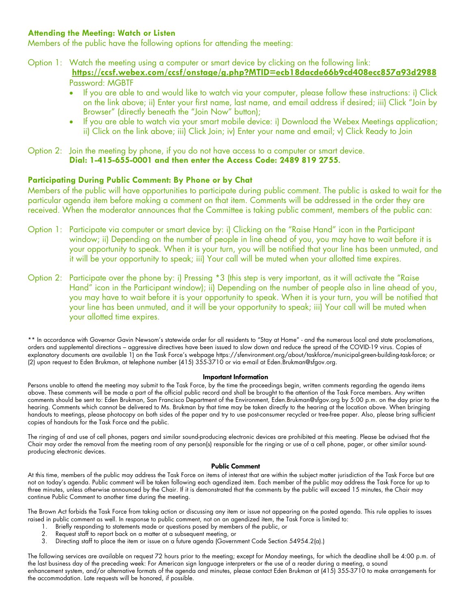### **Attending the Meeting: Watch or Listen**

Members of the public have the following options for attending the meeting:

### Option 1: Watch the meeting using a computer or smart device by clicking on the following link:

- **<https://ccsf.webex.com/ccsf/onstage/g.php?MTID=ecb18dacde66b9cd408ecc857a93d2988>** Password: MGBTF
- If you are able to and would like to watch via your computer, please follow these instructions: i) Click on the link above; ii) Enter your first name, last name, and email address if desired; iii) Click "Join by Browser" (directly beneath the "Join Now" button);
- If you are able to watch via your smart mobile device: i) Download the Webex Meetings application; ii) Click on the link above; iii) Click Join; iv) Enter your name and email; v) Click Ready to Join

#### Option 2: Join the meeting by phone, if you do not have access to a computer or smart device. **Dial: 1-415-655-0001 and then enter the Access Code: 2489 819 2755**.

#### **Participating During Public Comment: By Phone or by Chat**

Members of the public will have opportunities to participate during public comment. The public is asked to wait for the particular agenda item before making a comment on that item. Comments will be addressed in the order they are received. When the moderator announces that the Committee is taking public comment, members of the public can:

- Option 1: Participate via computer or smart device by: i) Clicking on the "Raise Hand" icon in the Participant window; ii) Depending on the number of people in line ahead of you, you may have to wait before it is your opportunity to speak. When it is your turn, you will be notified that your line has been unmuted, and it will be your opportunity to speak; iii) Your call will be muted when your allotted time expires.
- Option 2: Participate over the phone by: i) Pressing \*3 (this step is very important, as it will activate the "Raise Hand" icon in the Participant window); ii) Depending on the number of people also in line ahead of you, you may have to wait before it is your opportunity to speak. When it is your turn, you will be notified that your line has been unmuted, and it will be your opportunity to speak; iii) Your call will be muted when your allotted time expires.

\*\* In accordance with Governor Gavin Newsom's statewide order for all residents to "Stay at Home" - and the numerous local and state proclamations, orders and supplemental directions – aggressive directives have been issued to slow down and reduce the spread of the COVID-19 virus. Copies of explanatory documents are available 1) on the Task Force's webpage https://sfenvironment.org/about/taskforce/municipal-green-building-task-force; or (2) upon request to Eden Brukman, at telephone number (415) 355-3710 or via e-mail at Eden.Brukman@sfgov.org.

#### **Important Information**

Persons unable to attend the meeting may submit to the Task Force, by the time the proceedings begin, written comments regarding the agenda items above. These comments will be made a part of the official public record and shall be brought to the attention of the Task Force members. Any written comments should be sent to: Eden Brukman, San Francisco Department of the Environment, Eden.Brukman@sfgov.org by 5:00 p.m. on the day prior to the hearing. Comments which cannot be delivered to Ms. Brukman by that time may be taken directly to the hearing at the location above. When bringing handouts to meetings, please photocopy on both sides of the paper and try to use post-consumer recycled or tree-free paper. Also, please bring sufficient copies of handouts for the Task Force and the public.

The ringing of and use of cell phones, pagers and similar sound-producing electronic devices are prohibited at this meeting. Please be advised that the Chair may order the removal from the meeting room of any person(s) responsible for the ringing or use of a cell phone, pager, or other similar soundproducing electronic devices.

#### **Public Comment**

At this time, members of the public may address the Task Force on items of interest that are within the subject matter jurisdiction of the Task Force but are not on today's agenda. Public comment will be taken following each agendized item. Each member of the public may address the Task Force for up to three minutes, unless otherwise announced by the Chair. If it is demonstrated that the comments by the public will exceed 15 minutes, the Chair may continue Public Comment to another time during the meeting.

The Brown Act forbids the Task Force from taking action or discussing any item or issue not appearing on the posted agenda. This rule applies to issues raised in public comment as well. In response to public comment, not on an agendized item, the Task Force is limited to:

- 1. Briefly responding to statements made or questions posed by members of the public, or
- 2. Request staff to report back on a matter at a subsequent meeting, or
- 3. Directing staff to place the item or issue on a future agenda (Government Code Section 54954.2(a).)

The following services are available on request 72 hours prior to the meeting; except for Monday meetings, for which the deadline shall be 4:00 p.m. of the last business day of the preceding week: For American sign language interpreters or the use of a reader during a meeting, a sound enhancement system, and/or alternative formats of the agenda and minutes, please contact Eden Brukman at (415) 355-3710 to make arrangements for the accommodation. Late requests will be honored, if possible.